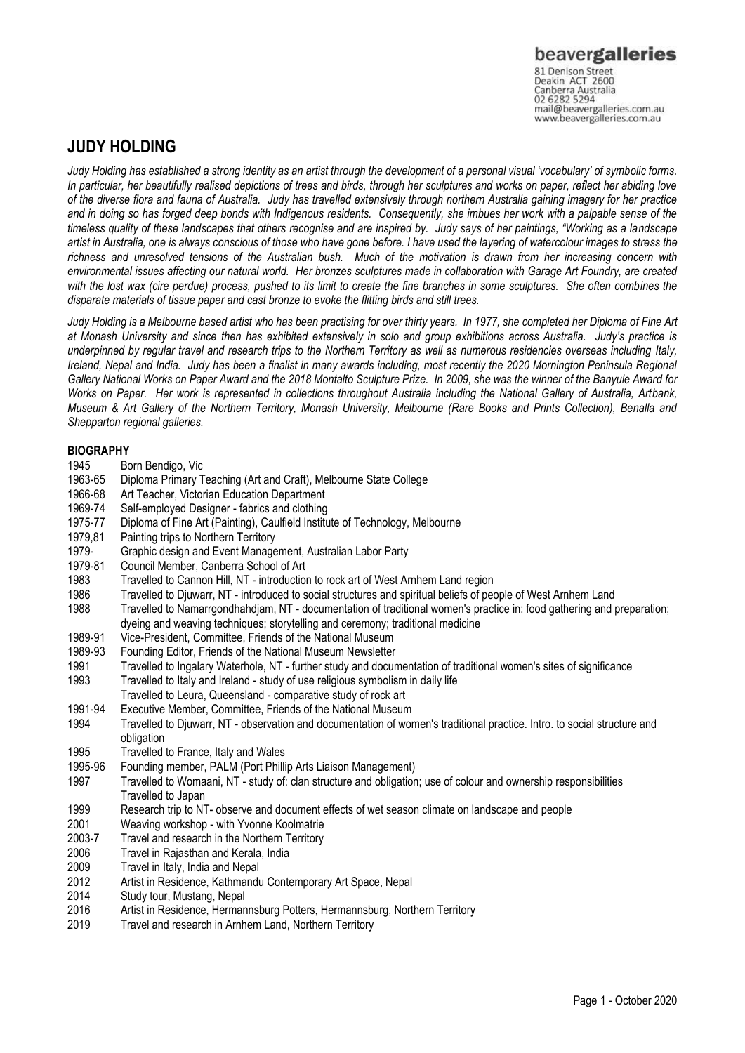Canberra Australia mail@beavergalleries.com.au www.beavergalleries.com.au

# **JUDY HOLDING**

*Judy Holding has established a strong identity as an artist through the development of a personal visual 'vocabulary' of symbolic forms. In particular, her beautifully realised depictions of trees and birds, through her sculptures and works on paper, reflect her abiding love of the diverse flora and fauna of Australia. Judy has travelled extensively through northern Australia gaining imagery for her practice and in doing so has forged deep bonds with Indigenous residents. Consequently, she imbues her work with a palpable sense of the timeless quality of these landscapes that others recognise and are inspired by. Judy says of her paintings, "Working as a landscape artist in Australia, one is always conscious of those who have gone before. I have used the layering of watercolour images to stress the richness and unresolved tensions of the Australian bush. Much of the motivation is drawn from her increasing concern with environmental issues affecting our natural world. Her bronzes sculptures made in collaboration with Garage Art Foundry, are created with the lost wax (cire perdue) process, pushed to its limit to create the fine branches in some sculptures. She often combines the disparate materials of tissue paper and cast bronze to evoke the flitting birds and still trees.* 

*Judy Holding is a Melbourne based artist who has been practising for over thirty years. In 1977, she completed her Diploma of Fine Art at Monash University and since then has exhibited extensively in solo and group exhibitions across Australia. Judy's practice is underpinned by regular travel and research trips to the Northern Territory as well as numerous residencies overseas including Italy, Ireland, Nepal and India. Judy has been a finalist in many awards including, most recently the 2020 Mornington Peninsula Regional Gallery National Works on Paper Award and the 2018 Montalto Sculpture Prize. In 2009, she was the winner of the Banyule Award for Works on Paper. Her work is represented in collections throughout Australia including the National Gallery of Australia, Artbank, Museum & Art Gallery of the Northern Territory, Monash University, Melbourne (Rare Books and Prints Collection), Benalla and Shepparton regional galleries.*

# **BIOGRAPHY**

- 1945 Born Bendigo, Vic<br>1963-65 Diploma Primary T
- Diploma Primary Teaching (Art and Craft), Melbourne State College
- 1966-68 Art Teacher, Victorian Education Department
- 1969-74 Self-employed Designer fabrics and clothing
- 1975-77 Diploma of Fine Art (Painting), Caulfield Institute of Technology, Melbourne
- 1979,81 Painting trips to Northern Territory
- 1979- Graphic design and Event Management, Australian Labor Party
- 1979-81 Council Member, Canberra School of Art<br>1983 Travelled to Cannon Hill, NT introduction
- 1983 Travelled to Cannon Hill, NT introduction to rock art of West Arnhem Land region<br>1986 Travelled to Diuwarr. NT introduced to social structures and spiritual beliefs of pe
- 1986 Travelled to Djuwarr, NT introduced to social structures and spiritual beliefs of people of West Arnhem Land
- Travelled to Namarrgondhahdjam, NT documentation of traditional women's practice in: food gathering and preparation; dyeing and weaving techniques; storytelling and ceremony; traditional medicine
- 1989-91 Vice-President, Committee, Friends of the National Museum
- 1989-93 Founding Editor, Friends of the National Museum Newsletter
- 1991 Travelled to Ingalary Waterhole, NT further study and documentation of traditional women's sites of significance 1993 Travelled to Italy and Ireland - study of use religious symbolism in daily life
- Travelled to Leura, Queensland comparative study of rock art
- 1991-94 Executive Member, Committee, Friends of the National Museum
- 1994 Travelled to Djuwarr, NT observation and documentation of women's traditional practice. Intro. to social structure and obligation
- 1995 Travelled to France, Italy and Wales
- 1995-96 Founding member, PALM (Port Phillip Arts Liaison Management)
- 1997 Travelled to Womaani, NT study of: clan structure and obligation; use of colour and ownership responsibilities Travelled to Japan
- 1999 Research trip to NT- observe and document effects of wet season climate on landscape and people
- 2001 Weaving workshop with Yvonne Koolmatrie
- 2003-7 Travel and research in the Northern Territory
- 2006 Travel in Rajasthan and Kerala, India
- 2009 Travel in Italy, India and Nepal
- 2012 Artist in Residence, Kathmandu Contemporary Art Space, Nepal
- 2014 Study tour, Mustang, Nepal
- 2016 Artist in Residence, Hermannsburg Potters, Hermannsburg, Northern Territory<br>2019 Travel and research in Arnhem Land. Northern Territory
- Travel and research in Arnhem Land, Northern Territory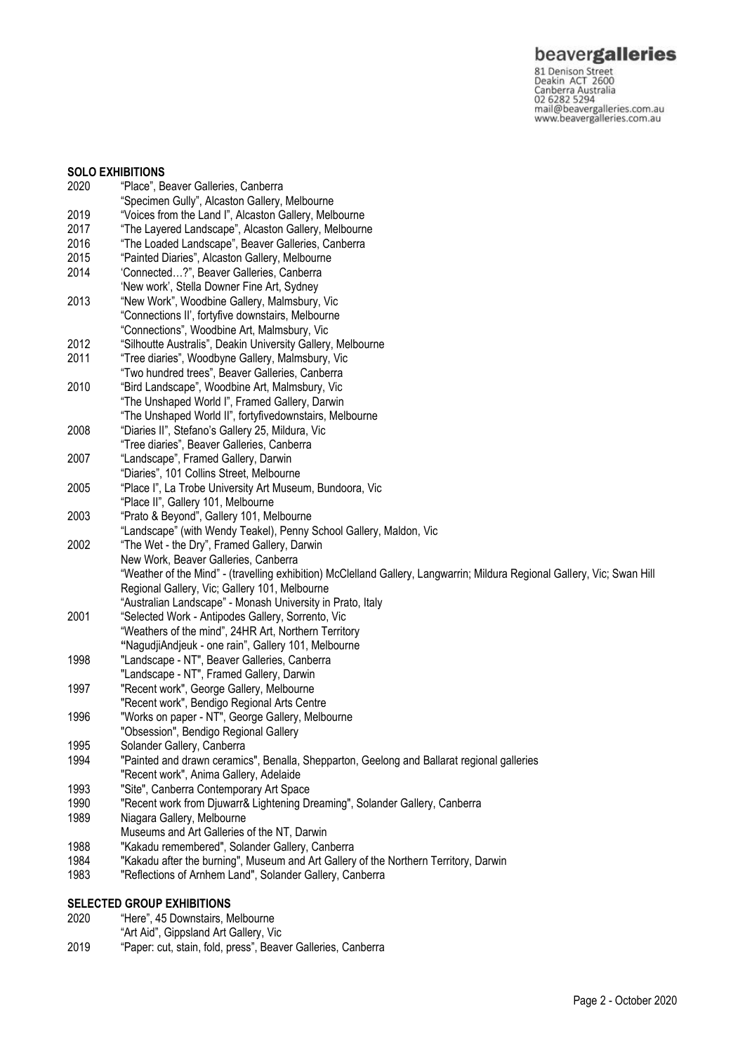**beavergalleries**<br> **81 Denison Street**<br>
Deakin ACT 2600<br>
Canberra Australia<br>
02 6282 5294<br>
mail@beavergalleries.com.au<br>
www.beavergalleries.com.au

| <b>SOLO EXHIBITIONS</b> |                                                                                                                          |  |
|-------------------------|--------------------------------------------------------------------------------------------------------------------------|--|
| 2020                    | "Place", Beaver Galleries, Canberra                                                                                      |  |
|                         | "Specimen Gully", Alcaston Gallery, Melbourne                                                                            |  |
| 2019                    | "Voices from the Land I", Alcaston Gallery, Melbourne                                                                    |  |
| 2017                    | "The Layered Landscape", Alcaston Gallery, Melbourne                                                                     |  |
| 2016                    | "The Loaded Landscape", Beaver Galleries, Canberra                                                                       |  |
| 2015                    | "Painted Diaries", Alcaston Gallery, Melbourne                                                                           |  |
| 2014                    | 'Connected?", Beaver Galleries, Canberra                                                                                 |  |
|                         | 'New work', Stella Downer Fine Art, Sydney                                                                               |  |
| 2013                    | "New Work", Woodbine Gallery, Malmsbury, Vic                                                                             |  |
|                         | "Connections II', fortyfive downstairs, Melbourne                                                                        |  |
|                         | "Connections", Woodbine Art, Malmsbury, Vic                                                                              |  |
| 2012                    | "Silhoutte Australis", Deakin University Gallery, Melbourne                                                              |  |
| 2011                    | "Tree diaries", Woodbyne Gallery, Malmsbury, Vic                                                                         |  |
|                         | "Two hundred trees", Beaver Galleries, Canberra                                                                          |  |
| 2010                    | "Bird Landscape", Woodbine Art, Malmsbury, Vic                                                                           |  |
|                         | "The Unshaped World I", Framed Gallery, Darwin                                                                           |  |
|                         | "The Unshaped World II", fortyfivedownstairs, Melbourne                                                                  |  |
| 2008                    | "Diaries II", Stefano's Gallery 25, Mildura, Vic                                                                         |  |
|                         | "Tree diaries", Beaver Galleries, Canberra                                                                               |  |
| 2007                    | "Landscape", Framed Gallery, Darwin                                                                                      |  |
|                         | "Diaries", 101 Collins Street, Melbourne                                                                                 |  |
| 2005                    | "Place I", La Trobe University Art Museum, Bundoora, Vic                                                                 |  |
|                         | "Place II", Gallery 101, Melbourne                                                                                       |  |
| 2003                    | "Prato & Beyond", Gallery 101, Melbourne                                                                                 |  |
|                         | "Landscape" (with Wendy Teakel), Penny School Gallery, Maldon, Vic                                                       |  |
| 2002                    | "The Wet - the Dry", Framed Gallery, Darwin                                                                              |  |
|                         | New Work, Beaver Galleries, Canberra                                                                                     |  |
|                         | "Weather of the Mind" - (travelling exhibition) McClelland Gallery, Langwarrin; Mildura Regional Gallery, Vic; Swan Hill |  |
|                         | Regional Gallery, Vic; Gallery 101, Melbourne                                                                            |  |
|                         | "Australian Landscape" - Monash University in Prato, Italy                                                               |  |
| 2001                    | "Selected Work - Antipodes Gallery, Sorrento, Vic                                                                        |  |
|                         | "Weathers of the mind", 24HR Art, Northern Territory                                                                     |  |
|                         | "NagudjiAndjeuk - one rain", Gallery 101, Melbourne                                                                      |  |
| 1998                    | "Landscape - NT", Beaver Galleries, Canberra                                                                             |  |
|                         | "Landscape - NT", Framed Gallery, Darwin                                                                                 |  |
| 1997                    | "Recent work", George Gallery, Melbourne                                                                                 |  |
|                         | "Recent work", Bendigo Regional Arts Centre                                                                              |  |
| 1996                    | "Works on paper - NT", George Gallery, Melbourne                                                                         |  |
|                         | "Obsession", Bendigo Regional Gallery                                                                                    |  |
| 1995                    | Solander Gallery, Canberra                                                                                               |  |
| 1994                    | "Painted and drawn ceramics", Benalla, Shepparton, Geelong and Ballarat regional galleries                               |  |
|                         | "Recent work", Anima Gallery, Adelaide                                                                                   |  |
| 1993                    | "Site", Canberra Contemporary Art Space                                                                                  |  |
| 1990                    | "Recent work from Djuwarr& Lightening Dreaming", Solander Gallery, Canberra                                              |  |
| 1989                    | Niagara Gallery, Melbourne                                                                                               |  |
|                         | Museums and Art Galleries of the NT, Darwin                                                                              |  |
| 1988                    | "Kakadu remembered", Solander Gallery, Canberra                                                                          |  |
| 1984                    | "Kakadu after the burning", Museum and Art Gallery of the Northern Territory, Darwin                                     |  |
| 1983                    | "Reflections of Arnhem Land", Solander Gallery, Canberra                                                                 |  |
|                         |                                                                                                                          |  |

# **SELECTED GROUP EXHIBITIONS**<br>2020 "Here", 45 Downstairs, M

- "Here", 45 Downstairs, Melbourne
- "Art Aid", Gippsland Art Gallery, Vic
- 2019 "Paper: cut, stain, fold, press", Beaver Galleries, Canberra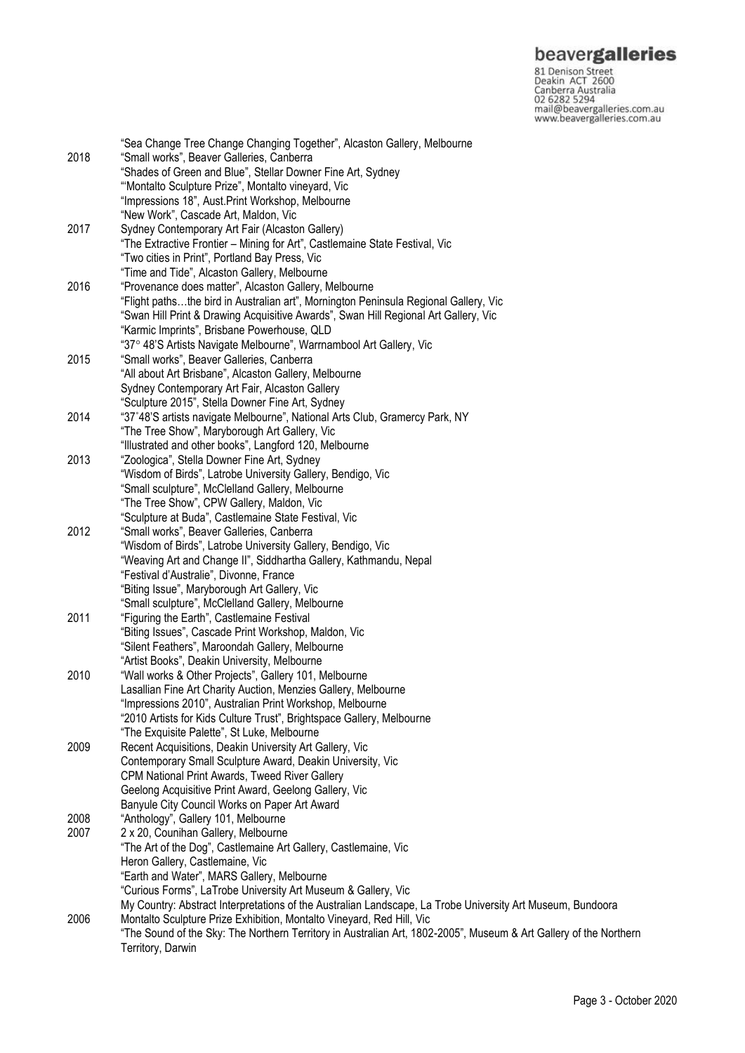**beavergalleries**<br> **81 Denison Street**<br>
Deakin ACT 2600<br>
Canberra Australia<br>
02 6282 5294<br>
mail@beavergalleries.com.au<br>
www.beavergalleries.com.au

|              | "Sea Change Tree Change Changing Together", Alcaston Gallery, Melbourne                                           |
|--------------|-------------------------------------------------------------------------------------------------------------------|
| 2018         | "Small works", Beaver Galleries, Canberra                                                                         |
|              | "Shades of Green and Blue", Stellar Downer Fine Art, Sydney                                                       |
|              | "Montalto Sculpture Prize", Montalto vineyard, Vic                                                                |
|              | "Impressions 18", Aust. Print Workshop, Melbourne                                                                 |
|              | "New Work", Cascade Art, Maldon, Vic                                                                              |
|              |                                                                                                                   |
| 2017         | Sydney Contemporary Art Fair (Alcaston Gallery)                                                                   |
|              | "The Extractive Frontier - Mining for Art", Castlemaine State Festival, Vic                                       |
|              | "Two cities in Print", Portland Bay Press, Vic                                                                    |
|              | "Time and Tide", Alcaston Gallery, Melbourne                                                                      |
| 2016         | "Provenance does matter", Alcaston Gallery, Melbourne                                                             |
|              | "Flight pathsthe bird in Australian art", Mornington Peninsula Regional Gallery, Vic                              |
|              | "Swan Hill Print & Drawing Acquisitive Awards", Swan Hill Regional Art Gallery, Vic                               |
|              | "Karmic Imprints", Brisbane Powerhouse, QLD                                                                       |
|              | "37° 48'S Artists Navigate Melbourne", Warrnambool Art Gallery, Vic                                               |
| 2015         | "Small works", Beaver Galleries, Canberra                                                                         |
|              | "All about Art Brisbane", Alcaston Gallery, Melbourne                                                             |
|              | Sydney Contemporary Art Fair, Alcaston Gallery                                                                    |
|              | "Sculpture 2015", Stella Downer Fine Art, Sydney                                                                  |
| 2014         | "37°48'S artists navigate Melbourne", National Arts Club, Gramercy Park, NY                                       |
|              | "The Tree Show", Maryborough Art Gallery, Vic                                                                     |
|              | "Illustrated and other books", Langford 120, Melbourne                                                            |
|              | "Zoologica", Stella Downer Fine Art, Sydney                                                                       |
| 2013         |                                                                                                                   |
|              | "Wisdom of Birds", Latrobe University Gallery, Bendigo, Vic                                                       |
|              | "Small sculpture", McClelland Gallery, Melbourne                                                                  |
|              | "The Tree Show", CPW Gallery, Maldon, Vic                                                                         |
|              | "Sculpture at Buda", Castlemaine State Festival, Vic                                                              |
| 2012         | "Small works", Beaver Galleries, Canberra                                                                         |
|              | "Wisdom of Birds", Latrobe University Gallery, Bendigo, Vic                                                       |
|              | "Weaving Art and Change II", Siddhartha Gallery, Kathmandu, Nepal                                                 |
|              | "Festival d'Australie", Divonne, France                                                                           |
|              | "Biting Issue", Maryborough Art Gallery, Vic                                                                      |
|              | "Small sculpture", McClelland Gallery, Melbourne                                                                  |
| 2011         | "Figuring the Earth", Castlemaine Festival                                                                        |
|              | "Biting Issues", Cascade Print Workshop, Maldon, Vic                                                              |
|              | "Silent Feathers", Maroondah Gallery, Melbourne                                                                   |
|              | "Artist Books", Deakin University, Melbourne                                                                      |
| 2010         | "Wall works & Other Projects", Gallery 101, Melbourne                                                             |
|              | Lasallian Fine Art Charity Auction, Menzies Gallery, Melbourne                                                    |
|              | "Impressions 2010", Australian Print Workshop, Melbourne                                                          |
|              | "2010 Artists for Kids Culture Trust", Brightspace Gallery, Melbourne                                             |
|              | "The Exquisite Palette", St Luke, Melbourne                                                                       |
| 2009         | Recent Acquisitions, Deakin University Art Gallery, Vic                                                           |
|              | Contemporary Small Sculpture Award, Deakin University, Vic                                                        |
|              | CPM National Print Awards, Tweed River Gallery                                                                    |
|              | Geelong Acquisitive Print Award, Geelong Gallery, Vic                                                             |
|              | Banyule City Council Works on Paper Art Award                                                                     |
| 2008         | "Anthology", Gallery 101, Melbourne                                                                               |
| 2007<br>2006 | 2 x 20, Counihan Gallery, Melbourne                                                                               |
|              | "The Art of the Dog", Castlemaine Art Gallery, Castlemaine, Vic                                                   |
|              | Heron Gallery, Castlemaine, Vic                                                                                   |
|              | "Earth and Water", MARS Gallery, Melbourne                                                                        |
|              | "Curious Forms", LaTrobe University Art Museum & Gallery, Vic                                                     |
|              | My Country: Abstract Interpretations of the Australian Landscape, La Trobe University Art Museum, Bundoora        |
|              |                                                                                                                   |
|              | Montalto Sculpture Prize Exhibition, Montalto Vineyard, Red Hill, Vic                                             |
|              | "The Sound of the Sky: The Northern Territory in Australian Art, 1802-2005", Museum & Art Gallery of the Northern |
|              | Territory, Darwin                                                                                                 |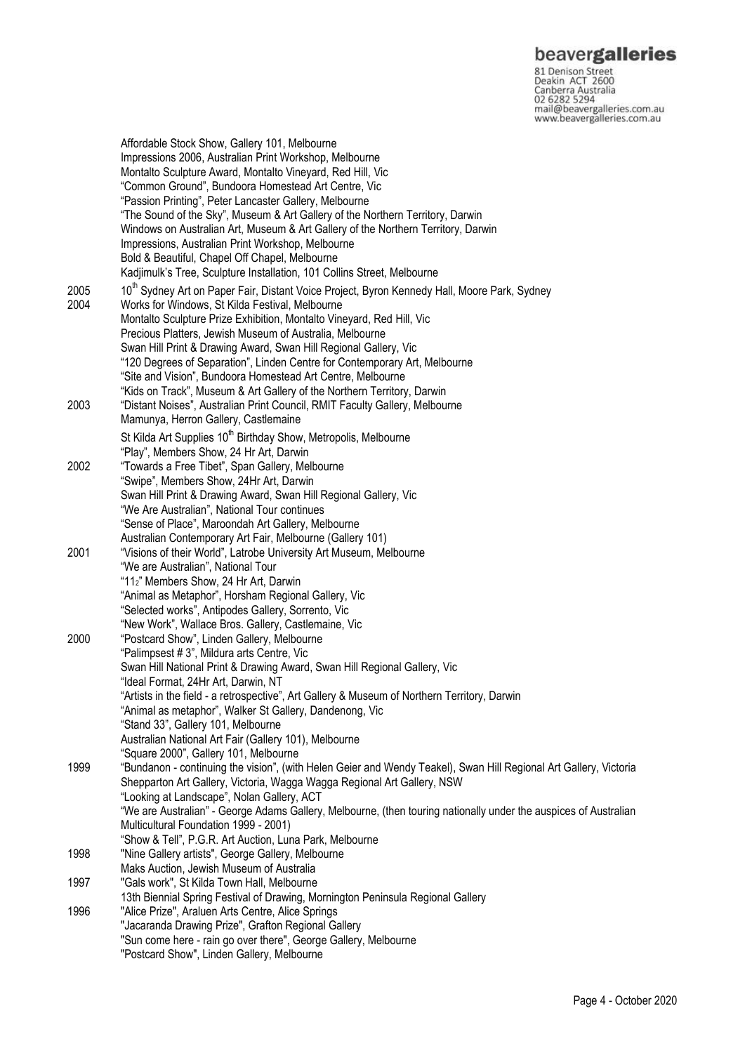# beavergalleries

81 Denison Street<br>Deakin ACT 2600 Canberra Australia 02 6282 5294 mail@beavergalleries.com.au www.beavergalleries.com.au

Affordable Stock Show, Gallery 101, Melbourne Impressions 2006, Australian Print Workshop, Melbourne Montalto Sculpture Award, Montalto Vineyard, Red Hill, Vic "Common Ground", Bundoora Homestead Art Centre, Vic "Passion Printing", Peter Lancaster Gallery, Melbourne "The Sound of the Sky", Museum & Art Gallery of the Northern Territory, Darwin Windows on Australian Art, Museum & Art Gallery of the Northern Territory, Darwin Impressions, Australian Print Workshop, Melbourne Bold & Beautiful, Chapel Off Chapel, Melbourne Kadjimulk's Tree, Sculpture Installation, 101 Collins Street, Melbourne 2005 10<sup>th</sup> Sydney Art on Paper Fair, Distant Voice Project, Byron Kennedy Hall, Moore Park, Sydney 2004 Works for Windows, St Kilda Festival, Melbourne Montalto Sculpture Prize Exhibition, Montalto Vineyard, Red Hill, Vic Precious Platters, Jewish Museum of Australia, Melbourne Swan Hill Print & Drawing Award, Swan Hill Regional Gallery, Vic "120 Degrees of Separation", Linden Centre for Contemporary Art, Melbourne "Site and Vision", Bundoora Homestead Art Centre, Melbourne "Kids on Track", Museum & Art Gallery of the Northern Territory, Darwin 2003 "Distant Noises", Australian Print Council, RMIT Faculty Gallery, Melbourne Mamunya, Herron Gallery, Castlemaine St Kilda Art Supplies 10<sup>th</sup> Birthday Show, Metropolis, Melbourne "Play", Members Show, 24 Hr Art, Darwin 2002 "Towards a Free Tibet", Span Gallery, Melbourne "Swipe", Members Show, 24Hr Art, Darwin Swan Hill Print & Drawing Award, Swan Hill Regional Gallery, Vic "We Are Australian", National Tour continues "Sense of Place", Maroondah Art Gallery, Melbourne Australian Contemporary Art Fair, Melbourne (Gallery 101) 2001 "Visions of their World", Latrobe University Art Museum, Melbourne "We are Australian", National Tour "112" Members Show, 24 Hr Art, Darwin "Animal as Metaphor", Horsham Regional Gallery, Vic "Selected works", Antipodes Gallery, Sorrento, Vic "New Work", Wallace Bros. Gallery, Castlemaine, Vic 2000 "Postcard Show", Linden Gallery, Melbourne "Palimpsest # 3", Mildura arts Centre, Vic Swan Hill National Print & Drawing Award, Swan Hill Regional Gallery, Vic "Ideal Format, 24Hr Art, Darwin, NT "Artists in the field - a retrospective", Art Gallery & Museum of Northern Territory, Darwin "Animal as metaphor", Walker St Gallery, Dandenong, Vic "Stand 33", Gallery 101, Melbourne Australian National Art Fair (Gallery 101), Melbourne "Square 2000", Gallery 101, Melbourne 1999 "Bundanon - continuing the vision", (with Helen Geier and Wendy Teakel), Swan Hill Regional Art Gallery, Victoria Shepparton Art Gallery, Victoria, Wagga Wagga Regional Art Gallery, NSW "Looking at Landscape", Nolan Gallery, ACT "We are Australian" - George Adams Gallery, Melbourne, (then touring nationally under the auspices of Australian Multicultural Foundation 1999 - 2001) "Show & Tell", P.G.R. Art Auction, Luna Park, Melbourne 1998 "Nine Gallery artists", George Gallery, Melbourne Maks Auction, Jewish Museum of Australia 1997 "Gals work", St Kilda Town Hall, Melbourne 13th Biennial Spring Festival of Drawing, Mornington Peninsula Regional Gallery 1996 "Alice Prize", Araluen Arts Centre, Alice Springs "Jacaranda Drawing Prize", Grafton Regional Gallery "Sun come here - rain go over there", George Gallery, Melbourne "Postcard Show", Linden Gallery, Melbourne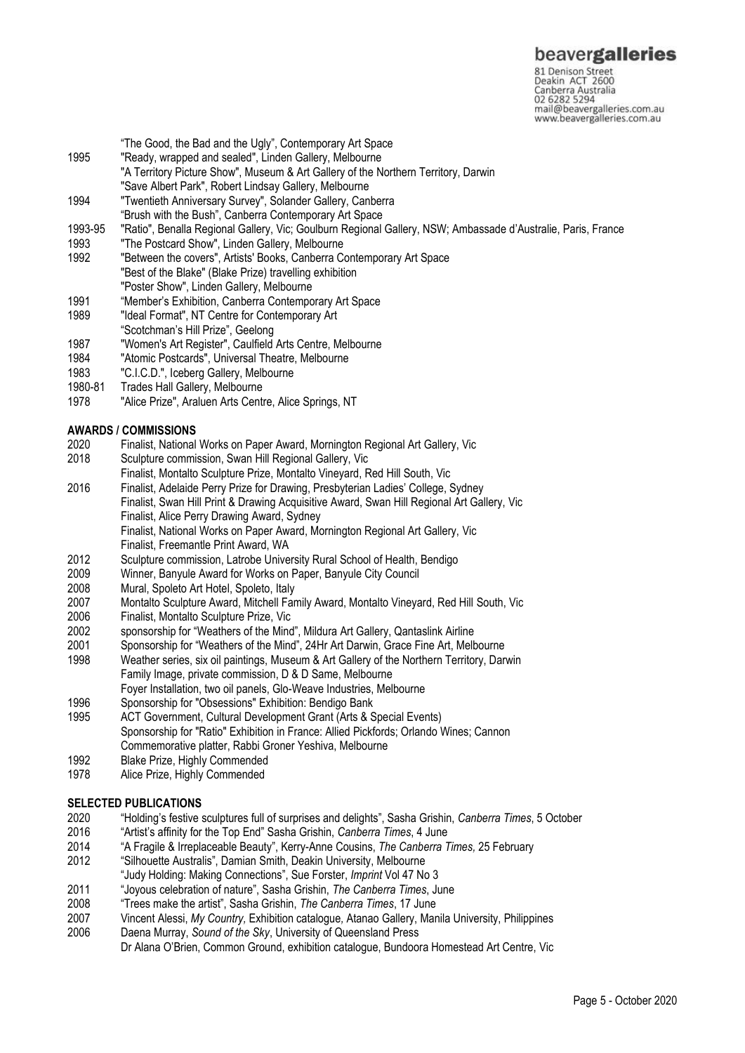81 Denison Street<br>Deakin ACT 2600 Canberra Australia 02 6282 5294 mail@beavergalleries.com.au www.beavergalleries.com.au

- "The Good, the Bad and the Ugly", Contemporary Art Space
- 1995 "Ready, wrapped and sealed", Linden Gallery, Melbourne
- "A Territory Picture Show", Museum & Art Gallery of the Northern Territory, Darwin "Save Albert Park", Robert Lindsay Gallery, Melbourne
- 1994 "Twentieth Anniversary Survey", Solander Gallery, Canberra
- "Brush with the Bush", Canberra Contemporary Art Space
- 1993-95 "Ratio", Benalla Regional Gallery, Vic; Goulburn Regional Gallery, NSW; Ambassade d'Australie, Paris, France
- 1993 "The Postcard Show", Linden Gallery, Melbourne
- 1992 "Between the covers", Artists' Books, Canberra Contemporary Art Space "Best of the Blake" (Blake Prize) travelling exhibition "Poster Show", Linden Gallery, Melbourne
- 1991 "Member's Exhibition, Canberra Contemporary Art Space
- 1989 "Ideal Format", NT Centre for Contemporary Art
- "Scotchman's Hill Prize", Geelong
- 1987 "Women's Art Register", Caulfield Arts Centre, Melbourne
- 1984 "Atomic Postcards", Universal Theatre, Melbourne
- 1983 "C.I.C.D.", Iceberg Gallery, Melbourne
- 1980-81 Trades Hall Gallery, Melbourne
- 1978 "Alice Prize", Araluen Arts Centre, Alice Springs, NT

# **AWARDS / COMMISSIONS**

- 2020 Finalist, National Works on Paper Award, Mornington Regional Art Gallery, Vic
- Sculpture commission, Swan Hill Regional Gallery, Vic
- Finalist, Montalto Sculpture Prize, Montalto Vineyard, Red Hill South, Vic
- 2016 Finalist, Adelaide Perry Prize for Drawing, Presbyterian Ladies' College, Sydney Finalist, Swan Hill Print & Drawing Acquisitive Award, Swan Hill Regional Art Gallery, Vic Finalist, Alice Perry Drawing Award, Sydney Finalist, National Works on Paper Award, Mornington Regional Art Gallery, Vic Finalist, Freemantle Print Award, WA
- 2012 Sculpture commission, Latrobe University Rural School of Health, Bendigo<br>2009 Winner, Banyule Award for Works on Paper, Banyule City Council
- 2009 Winner, Banyule Award for Works on Paper, Banyule City Council
- Mural, Spoleto Art Hotel, Spoleto, Italy
- 2007 Montalto Sculpture Award, Mitchell Family Award, Montalto Vineyard, Red Hill South, Vic<br>2006 Finalist, Montalto Sculpture Prize, Vic
- 2006 Finalist, Montalto Sculpture Prize, Vic
- 2002 sponsorship for "Weathers of the Mind", Mildura Art Gallery, Qantaslink Airline
- 2001 Sponsorship for "Weathers of the Mind", 24Hr Art Darwin, Grace Fine Art, Melbourne
- 1998 Weather series, six oil paintings, Museum & Art Gallery of the Northern Territory, Darwin Family Image, private commission, D & D Same, Melbourne
- Foyer Installation, two oil panels, Glo-Weave Industries, Melbourne
- 1996 Sponsorship for "Obsessions" Exhibition: Bendigo Bank
- 1995 ACT Government, Cultural Development Grant (Arts & Special Events) Sponsorship for "Ratio" Exhibition in France: Allied Pickfords; Orlando Wines; Cannon Commemorative platter, Rabbi Groner Yeshiva, Melbourne
- 1992 Blake Prize, Highly Commended
- 1978 Alice Prize, Highly Commended

# **SELECTED PUBLICATIONS**

- 2020 "Holding's festive sculptures full of surprises and delights", Sasha Grishin, *Canberra Times*, 5 October
- 2016 "Artist's affinity for the Top End" Sasha Grishin, *Canberra Times*, 4 June
- 2014 "A Fragile & Irreplaceable Beauty", Kerry-Anne Cousins, *The Canberra Times,* 25 February
- 2012 "Silhouette Australis", Damian Smith, Deakin University, Melbourne
- "Judy Holding: Making Connections", Sue Forster, *Imprint* Vol 47 No 3
- 2011 "Joyous celebration of nature", Sasha Grishin, *The Canberra Times*, June
- 2008 "Trees make the artist", Sasha Grishin, *The Canberra Times*, 17 June
- 2007 Vincent Alessi, *My Country,* Exhibition catalogue*,* Atanao Gallery, Manila University, Philippines
- 2006 Daena Murray, *Sound of the Sky*, University of Queensland Press Dr Alana O'Brien, Common Ground, exhibition catalogue, Bundoora Homestead Art Centre, Vic